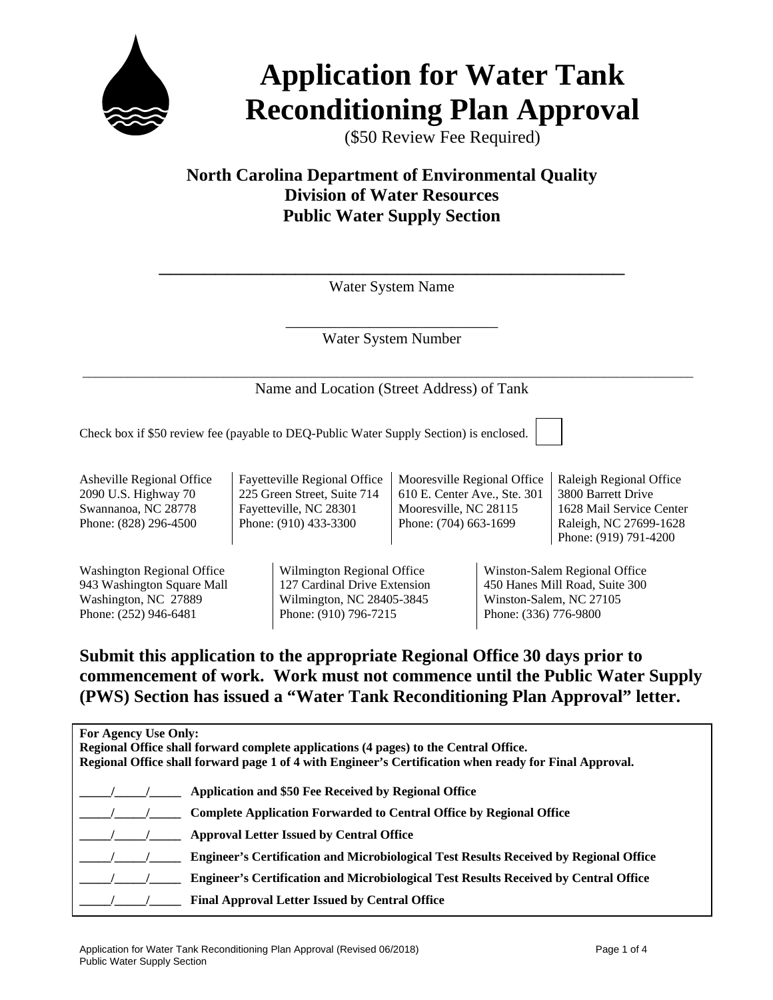

# **Application for Water Tank Reconditioning Plan Approval**

(\$50 Review Fee Required)

### **North Carolina Department of Environmental Quality Division of Water Resources Public Water Supply Section**

\_\_\_\_\_\_\_\_\_\_\_\_\_\_\_\_\_\_\_\_\_\_\_\_\_\_\_\_\_\_\_\_\_\_\_\_\_\_\_\_\_ Water System Name

> \_\_\_\_\_\_\_\_\_\_\_\_\_\_\_\_\_\_\_\_\_\_\_\_\_\_\_\_ Water System Number

 \_\_\_\_\_\_\_\_\_\_\_\_\_\_\_\_\_\_\_\_\_\_\_\_\_\_\_\_\_\_\_\_\_\_\_\_\_\_\_\_\_\_\_\_\_\_\_\_\_\_\_\_\_\_\_\_\_\_\_\_\_\_\_\_\_\_\_\_\_\_\_\_\_\_\_\_\_\_\_\_\_\_\_\_\_\_\_\_\_\_\_\_\_\_\_\_ Name and Location (Street Address) of Tank

Check box if \$50 review fee (payable to DEQ-Public Water Supply Section) is enclosed.

Asheville Regional Office 2090 U.S. Highway 70 Swannanoa, NC 28778 Phone: (828) 296-4500

Washington Regional Office 943 Washington Square Mall Washington, NC 27889 Phone: (252) 946-6481

Fayetteville Regional Office 225 Green Street, Suite 714 Fayetteville, NC 28301 Phone: (910) 433-3300

Mooresville Regional Office 610 E. Center Ave., Ste. 301 Mooresville, NC 28115 Phone: (704) 663-1699

Raleigh Regional Office 3800 Barrett Drive 1628 Mail Service Center Raleigh, NC 27699-1628 Phone: (919) 791-4200

Wilmington Regional Office 127 Cardinal Drive Extension Wilmington, NC 28405-3845 Phone: (910) 796-7215

Winston-Salem Regional Office 450 Hanes Mill Road, Suite 300 Winston-Salem, NC 27105 Phone: (336) 776-9800

#### **Submit this application to the appropriate Regional Office 30 days prior to commencement of work. Work must not commence until the Public Water Supply (PWS) Section has issued a "Water Tank Reconditioning Plan Approval" letter.**

| For Agency Use Only:<br>Regional Office shall forward complete applications (4 pages) to the Central Office.<br>Regional Office shall forward page 1 of 4 with Engineer's Certification when ready for Final Approval. |                                                                                              |  |  |
|------------------------------------------------------------------------------------------------------------------------------------------------------------------------------------------------------------------------|----------------------------------------------------------------------------------------------|--|--|
|                                                                                                                                                                                                                        | Application and \$50 Fee Received by Regional Office                                         |  |  |
|                                                                                                                                                                                                                        | <b>Complete Application Forwarded to Central Office by Regional Office</b>                   |  |  |
|                                                                                                                                                                                                                        | <b>Approval Letter Issued by Central Office</b>                                              |  |  |
|                                                                                                                                                                                                                        | <b>Engineer's Certification and Microbiological Test Results Received by Regional Office</b> |  |  |
|                                                                                                                                                                                                                        | <b>Engineer's Certification and Microbiological Test Results Received by Central Office</b>  |  |  |
|                                                                                                                                                                                                                        | <b>Final Approval Letter Issued by Central Office</b>                                        |  |  |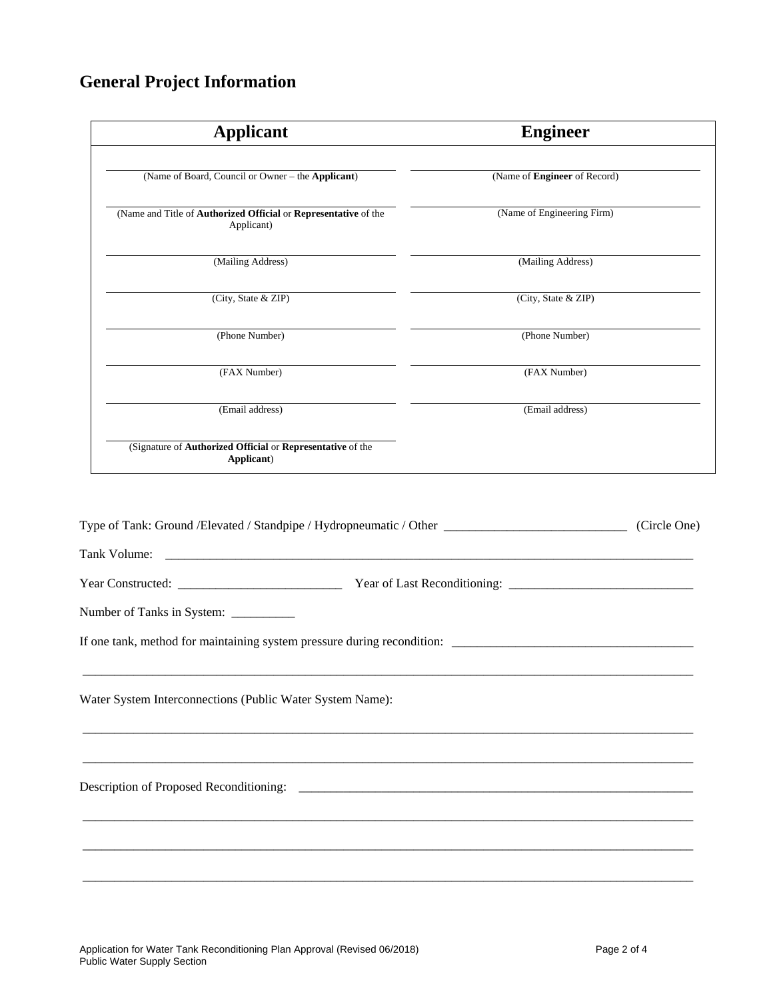## **General Project Information**

| <b>Applicant</b>                                                              | <b>Engineer</b>                                                                                                   |
|-------------------------------------------------------------------------------|-------------------------------------------------------------------------------------------------------------------|
| (Name of Board, Council or Owner - the Applicant)                             | (Name of Engineer of Record)                                                                                      |
| (Name and Title of Authorized Official or Representative of the<br>Applicant) | (Name of Engineering Firm)                                                                                        |
| (Mailing Address)                                                             | (Mailing Address)                                                                                                 |
| (City, State & ZIP)                                                           | (City, State & ZIP)                                                                                               |
| (Phone Number)                                                                | (Phone Number)                                                                                                    |
| (FAX Number)                                                                  | (FAX Number)                                                                                                      |
| (Email address)                                                               | (Email address)                                                                                                   |
| (Signature of Authorized Official or Representative of the<br>Applicant)      |                                                                                                                   |
|                                                                               | Type of Tank: Ground /Elevated / Standpipe / Hydropneumatic / Other ________________________________ (Circle One) |
|                                                                               |                                                                                                                   |
|                                                                               |                                                                                                                   |
| Number of Tanks in System: __________                                         |                                                                                                                   |
| Water System Interconnections (Public Water System Name):                     |                                                                                                                   |
|                                                                               |                                                                                                                   |
|                                                                               |                                                                                                                   |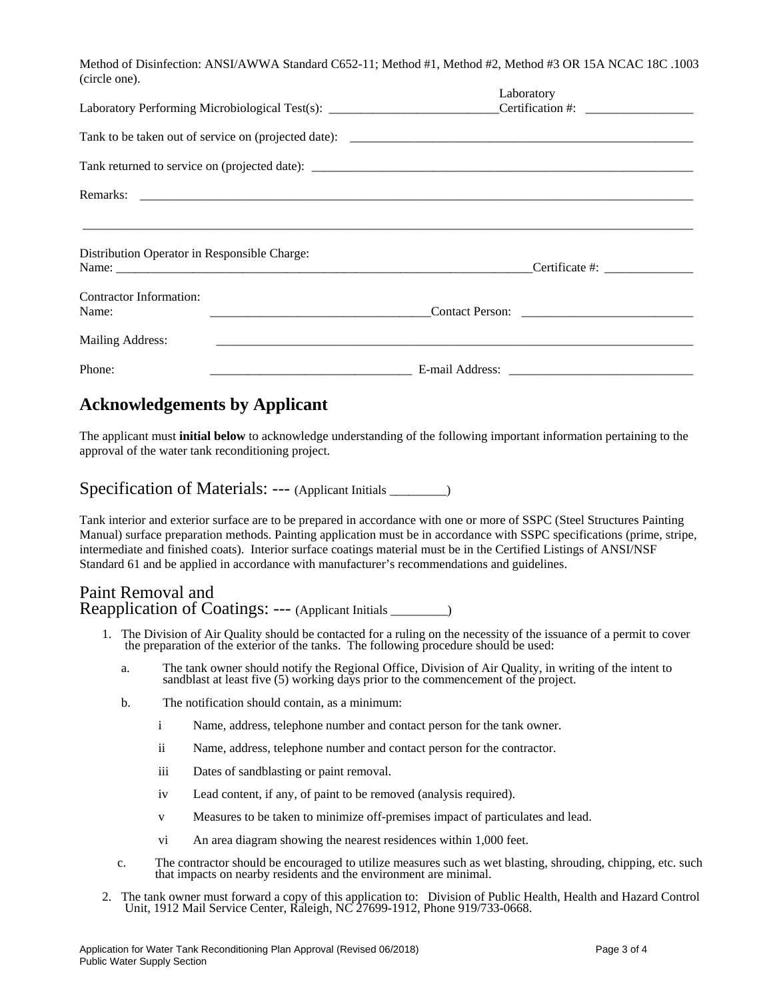Method of Disinfection: ANSI/AWWA Standard C652-11; Method #1, Method #2, Method #3 OR 15A NCAC 18C .1003 (circle one).

|                                              | Laboratory      |
|----------------------------------------------|-----------------|
|                                              |                 |
|                                              |                 |
|                                              |                 |
|                                              |                 |
| Distribution Operator in Responsible Charge: |                 |
| Contractor Information:<br>Name:             | Contact Person: |
| Mailing Address:                             |                 |
| Phone:                                       |                 |

#### **Acknowledgements by Applicant**

The applicant must **initial below** to acknowledge understanding of the following important information pertaining to the approval of the water tank reconditioning project.

#### Specification of Materials: --- (Applicant Initials \_\_\_\_\_\_\_)

Tank interior and exterior surface are to be prepared in accordance with one or more of SSPC (Steel Structures Painting Manual) surface preparation methods. Painting application must be in accordance with SSPC specifications (prime, stripe, intermediate and finished coats). Interior surface coatings material must be in the Certified Listings of ANSI/NSF Standard 61 and be applied in accordance with manufacturer's recommendations and guidelines.

#### Paint Removal and Reapplication of Coatings: --- (Applicant Initials \_\_\_\_\_\_\_\_\_)

- 1. The Division of Air Quality should be contacted for a ruling on the necessity of the issuance of a permit to cover the preparation of the exterior of the tanks. The following procedure should be used:
	- a. The tank owner should notify the Regional Office, Division of Air Quality, in writing of the intent to sandblast at least five (5) working days prior to the commencement of the project.
	- b. The notification should contain, as a minimum:
		- i Name, address, telephone number and contact person for the tank owner.
		- ii Name, address, telephone number and contact person for the contractor.
		- iii Dates of sandblasting or paint removal.
		- iv Lead content, if any, of paint to be removed (analysis required).
		- v Measures to be taken to minimize off-premises impact of particulates and lead.
		- vi An area diagram showing the nearest residences within 1,000 feet.
	- c. The contractor should be encouraged to utilize measures such as wet blasting, shrouding, chipping, etc. such that impacts on nearby residents and the environment are minimal.
- 2. The tank owner must forward a copy of this application to: Division of Public Health, Health and Hazard Control Unit, 1912 Mail Service Center, Raleigh, NC 27699-1912, Phone 919/733-0668.